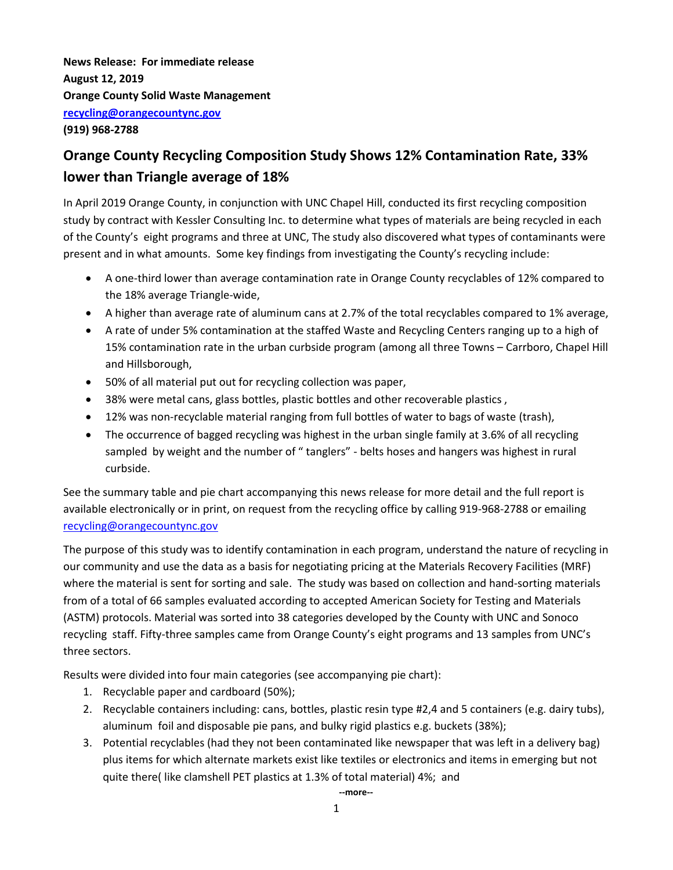**News Release: For immediate release August 12, 2019 Orange County Solid Waste Management [recycling@orangecountync.gov](mailto:recycling@orangecountync.gov) (919) 968-2788**

## **Orange County Recycling Composition Study Shows 12% Contamination Rate, 33% lower than Triangle average of 18%**

In April 2019 Orange County, in conjunction with UNC Chapel Hill, conducted its first recycling composition study by contract with Kessler Consulting Inc. to determine what types of materials are being recycled in each of the County's eight programs and three at UNC, The study also discovered what types of contaminants were present and in what amounts. Some key findings from investigating the County's recycling include:

- A one-third lower than average contamination rate in Orange County recyclables of 12% compared to the 18% average Triangle-wide,
- A higher than average rate of aluminum cans at 2.7% of the total recyclables compared to 1% average,
- A rate of under 5% contamination at the staffed Waste and Recycling Centers ranging up to a high of 15% contamination rate in the urban curbside program (among all three Towns – Carrboro, Chapel Hill and Hillsborough,
- 50% of all material put out for recycling collection was paper,
- 38% were metal cans, glass bottles, plastic bottles and other recoverable plastics ,
- 12% was non-recyclable material ranging from full bottles of water to bags of waste (trash),
- The occurrence of bagged recycling was highest in the urban single family at 3.6% of all recycling sampled by weight and the number of " tanglers" - belts hoses and hangers was highest in rural curbside.

See the summary table and pie chart accompanying this news release for more detail and the full report is available electronically or in print, on request from the recycling office by calling 919-968-2788 or emailing [recycling@orangecountync.gov](mailto:recycling@orangecountync.gov)

The purpose of this study was to identify contamination in each program, understand the nature of recycling in our community and use the data as a basis for negotiating pricing at the Materials Recovery Facilities (MRF) where the material is sent for sorting and sale. The study was based on collection and hand-sorting materials from of a total of 66 samples evaluated according to accepted American Society for Testing and Materials (ASTM) protocols. Material was sorted into 38 categories developed by the County with UNC and Sonoco recycling staff. Fifty-three samples came from Orange County's eight programs and 13 samples from UNC's three sectors.

Results were divided into four main categories (see accompanying pie chart):

- 1. Recyclable paper and cardboard (50%);
- 2. Recyclable containers including: cans, bottles, plastic resin type #2,4 and 5 containers (e.g. dairy tubs), aluminum foil and disposable pie pans, and bulky rigid plastics e.g. buckets (38%);
- 3. Potential recyclables (had they not been contaminated like newspaper that was left in a delivery bag) plus items for which alternate markets exist like textiles or electronics and items in emerging but not quite there( like clamshell PET plastics at 1.3% of total material) 4%; and

**--more--**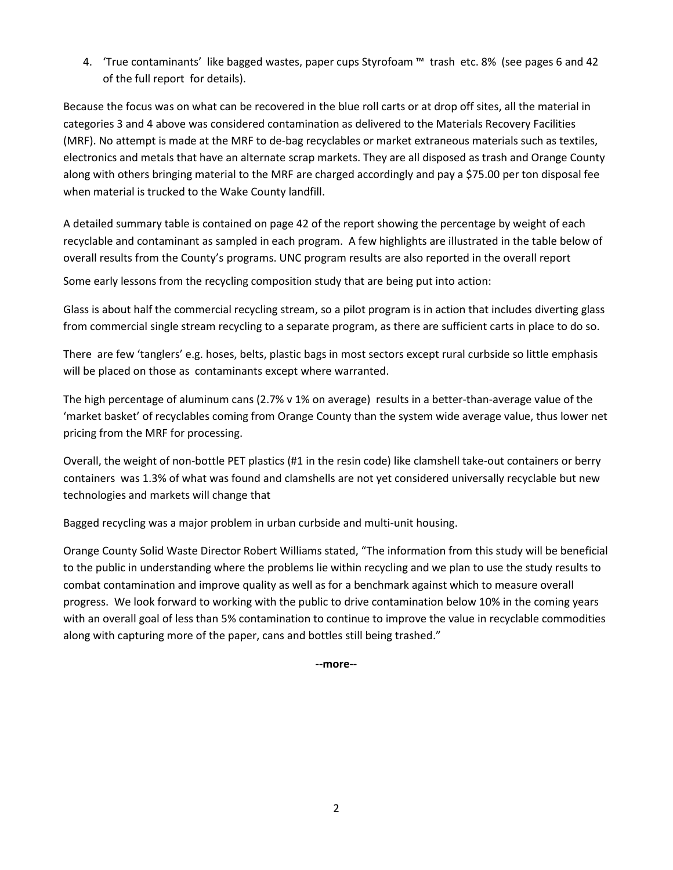4. 'True contaminants' like bagged wastes, paper cups Styrofoam ™ trash etc. 8% (see pages 6 and 42 of the full report for details).

Because the focus was on what can be recovered in the blue roll carts or at drop off sites, all the material in categories 3 and 4 above was considered contamination as delivered to the Materials Recovery Facilities (MRF). No attempt is made at the MRF to de-bag recyclables or market extraneous materials such as textiles, electronics and metals that have an alternate scrap markets. They are all disposed as trash and Orange County along with others bringing material to the MRF are charged accordingly and pay a \$75.00 per ton disposal fee when material is trucked to the Wake County landfill.

A detailed summary table is contained on page 42 of the report showing the percentage by weight of each recyclable and contaminant as sampled in each program. A few highlights are illustrated in the table below of overall results from the County's programs. UNC program results are also reported in the overall report

Some early lessons from the recycling composition study that are being put into action:

Glass is about half the commercial recycling stream, so a pilot program is in action that includes diverting glass from commercial single stream recycling to a separate program, as there are sufficient carts in place to do so.

There are few 'tanglers' e.g. hoses, belts, plastic bags in most sectors except rural curbside so little emphasis will be placed on those as contaminants except where warranted.

The high percentage of aluminum cans (2.7% v 1% on average) results in a better-than-average value of the 'market basket' of recyclables coming from Orange County than the system wide average value, thus lower net pricing from the MRF for processing.

Overall, the weight of non-bottle PET plastics (#1 in the resin code) like clamshell take-out containers or berry containers was 1.3% of what was found and clamshells are not yet considered universally recyclable but new technologies and markets will change that

Bagged recycling was a major problem in urban curbside and multi-unit housing.

Orange County Solid Waste Director Robert Williams stated, "The information from this study will be beneficial to the public in understanding where the problems lie within recycling and we plan to use the study results to combat contamination and improve quality as well as for a benchmark against which to measure overall progress. We look forward to working with the public to drive contamination below 10% in the coming years with an overall goal of less than 5% contamination to continue to improve the value in recyclable commodities along with capturing more of the paper, cans and bottles still being trashed."

**--more--**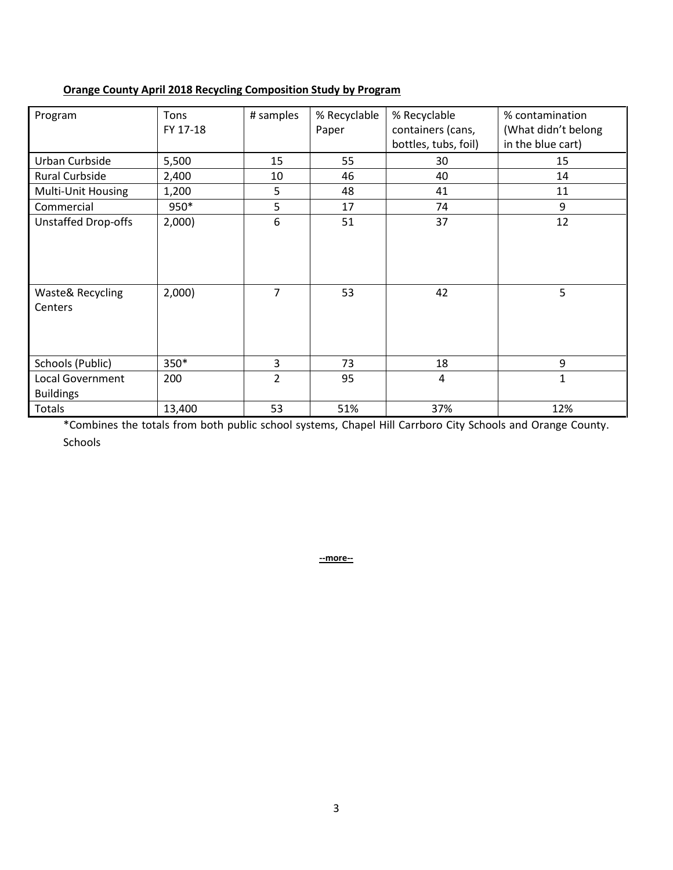| Program                    | Tons     | # samples      | % Recyclable | % Recyclable         | % contamination     |
|----------------------------|----------|----------------|--------------|----------------------|---------------------|
|                            | FY 17-18 |                | Paper        | containers (cans,    | (What didn't belong |
|                            |          |                |              | bottles, tubs, foil) | in the blue cart)   |
| Urban Curbside             | 5,500    | 15             | 55           | 30                   | 15                  |
| Rural Curbside             | 2,400    | 10             | 46           | 40                   | 14                  |
| Multi-Unit Housing         | 1,200    | 5              | 48           | 41                   | 11                  |
| Commercial                 | 950*     | 5              | 17           | 74                   | 9                   |
| <b>Unstaffed Drop-offs</b> | 2,000    | 6              | 51           | 37                   | 12                  |
|                            |          |                |              |                      |                     |
|                            |          |                |              |                      |                     |
|                            |          |                |              |                      |                     |
| Waste& Recycling           | 2,000    | $\overline{7}$ | 53           | 42                   | 5                   |
| Centers                    |          |                |              |                      |                     |
|                            |          |                |              |                      |                     |
|                            |          |                |              |                      |                     |
|                            |          |                |              |                      |                     |
| Schools (Public)           | 350*     | 3              | 73           | 18                   | 9                   |
| <b>Local Government</b>    | 200      | $\overline{2}$ | 95           | 4                    | $\mathbf{1}$        |
| <b>Buildings</b>           |          |                |              |                      |                     |
| Totals                     | 13,400   | 53             | 51%          | 37%                  | 12%                 |

## **Orange County April 2018 Recycling Composition Study by Program**

\*Combines the totals from both public school systems, Chapel Hill Carrboro City Schools and Orange County. Schools

**--more--**